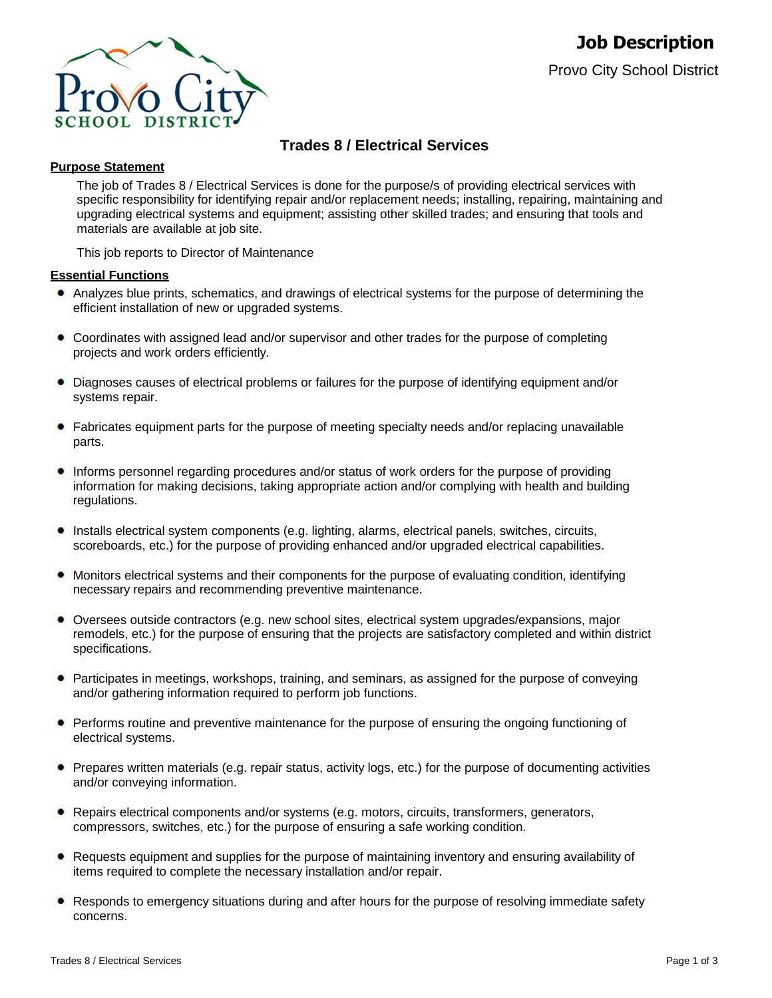

# **Trades 8 / Electrical Services**

# **Purpose Statement**

The job of Trades 8 / Electrical Services is done for the purpose/s of providing electrical services with specific responsibility for identifying repair and/or replacement needs; installing, repairing, maintaining and upgrading electrical systems and equipment; assisting other skilled trades; and ensuring that tools and materials are available at job site.

This job reports to Director of Maintenance

# **Essential Functions**

- Analyzes blue prints, schematics, and drawings of electrical systems for the purpose of determining the efficient installation of new or upgraded systems.
- Coordinates with assigned lead and/or supervisor and other trades for the purpose of completing projects and work orders efficiently.
- Diagnoses causes of electrical problems or failures for the purpose of identifying equipment and/or systems repair.
- Fabricates equipment parts for the purpose of meeting specialty needs and/or replacing unavailable parts.
- Informs personnel regarding procedures and/or status of work orders for the purpose of providing information for making decisions, taking appropriate action and/or complying with health and building regulations.
- Installs electrical system components (e.g. lighting, alarms, electrical panels, switches, circuits, scoreboards, etc.) for the purpose of providing enhanced and/or upgraded electrical capabilities.
- Monitors electrical systems and their components for the purpose of evaluating condition, identifying necessary repairs and recommending preventive maintenance.
- Oversees outside contractors (e.g. new school sites, electrical system upgrades/expansions, major remodels, etc.) for the purpose of ensuring that the projects are satisfactory completed and within district specifications.
- Participates in meetings, workshops, training, and seminars, as assigned for the purpose of conveying and/or gathering information required to perform job functions.
- **Performs routine and preventive maintenance for the purpose of ensuring the ongoing functioning of** electrical systems.
- Prepares written materials (e.g. repair status, activity logs, etc.) for the purpose of documenting activities and/or conveying information.
- Repairs electrical components and/or systems (e.g. motors, circuits, transformers, generators, compressors, switches, etc.) for the purpose of ensuring a safe working condition.
- Requests equipment and supplies for the purpose of maintaining inventory and ensuring availability of items required to complete the necessary installation and/or repair.
- Responds to emergency situations during and after hours for the purpose of resolving immediate safety concerns.